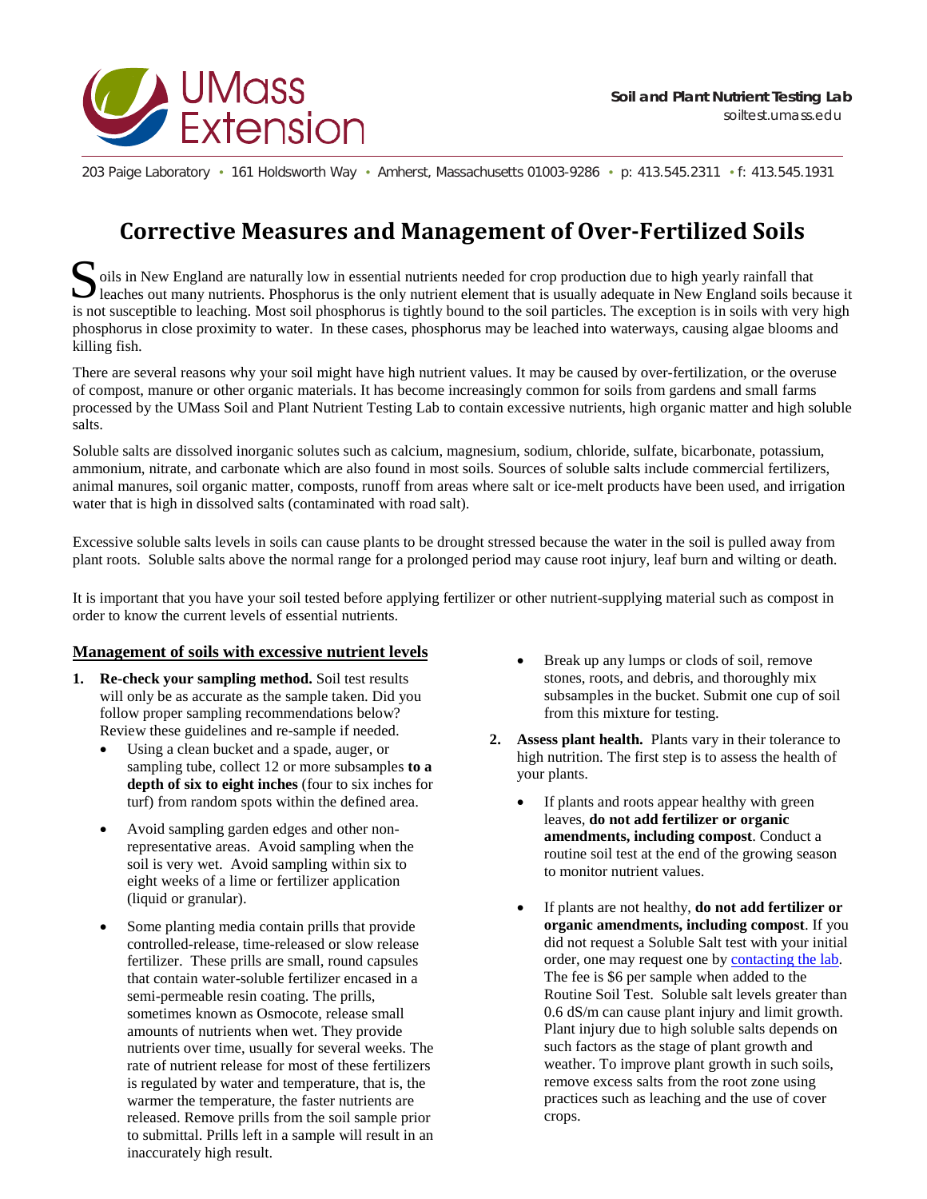

203 Paige Laboratory • 161 Holdsworth Way • Amherst, Massachusetts 01003-9286 • p: 413.545.2311 • f: 413.545.1931

## **Corrective Measures and Management of Over-Fertilized Soils**

oils in New England are naturally low in essential nutrients needed for crop production due to high yearly rainfall that Soils in New England are naturally low in essential nutrients needed for crop production due to high yearly rainfall that leaches out many nutrients. Phosphorus is the only nutrient element that is usually adequate in New is not susceptible to leaching. Most soil phosphorus is tightly bound to the soil particles. The exception is in soils with very high phosphorus in close proximity to water. In these cases, phosphorus may be leached into waterways, causing algae blooms and killing fish.

There are several reasons why your soil might have high nutrient values. It may be caused by over-fertilization, or the overuse of compost, manure or other organic materials. It has become increasingly common for soils from gardens and small farms processed by the UMass Soil and Plant Nutrient Testing Lab to contain excessive nutrients, high organic matter and high soluble salts.

Soluble salts are dissolved inorganic solutes such as calcium, magnesium, sodium, chloride, sulfate, bicarbonate, potassium, ammonium, nitrate, and carbonate which are also found in most soils. Sources of soluble salts include commercial fertilizers, animal manures, soil organic matter, composts, runoff from areas where salt or ice-melt products have been used, and irrigation water that is high in dissolved salts (contaminated with road salt).

Excessive soluble salts levels in soils can cause plants to be drought stressed because the water in the soil is pulled away from plant roots. Soluble salts above the normal range for a prolonged period may cause root injury, leaf burn and wilting or death.

It is important that you have your soil tested before applying fertilizer or other nutrient-supplying material such as compost in order to know the current levels of essential nutrients.

## **Management of soils with excessive nutrient levels**

- **1. Re-check your sampling method.** Soil test results will only be as accurate as the sample taken. Did you follow proper sampling recommendations below? Review these guidelines and re-sample if needed.
	- Using a clean bucket and a spade, auger, or sampling tube, collect 12 or more subsamples **to a depth of six to eight inches** (four to six inches for turf) from random spots within the defined area.
	- Avoid sampling garden edges and other nonrepresentative areas. Avoid sampling when the soil is very wet. Avoid sampling within six to eight weeks of a lime or fertilizer application (liquid or granular).
	- Some planting media contain prills that provide controlled-release, time-released or slow release fertilizer. These prills are small, round capsules that contain water-soluble fertilizer encased in a semi-permeable resin coating. The prills, sometimes known as Osmocote, release small amounts of nutrients when wet. They provide nutrients over time, usually for several weeks. The rate of nutrient release for most of these fertilizers is regulated by water and temperature, that is, the warmer the temperature, the faster nutrients are released. Remove prills from the soil sample prior to submittal. Prills left in a sample will result in an inaccurately high result.
- Break up any lumps or clods of soil, remove stones, roots, and debris, and thoroughly mix subsamples in the bucket. Submit one cup of soil from this mixture for testing.
- **2. Assess plant health.** Plants vary in their tolerance to high nutrition. The first step is to assess the health of your plants.
	- If plants and roots appear healthy with green leaves, **do not add fertilizer or organic amendments, including compost**. Conduct a routine soil test at the end of the growing season to monitor nutrient values.
	- If plants are not healthy, **do not add fertilizer or organic amendments, including compost**. If you did not request a Soluble Salt test with your initial order, one may request one by **contacting the lab**. The fee is \$6 per sample when added to the Routine Soil Test. Soluble salt levels greater than 0.6 dS/m can cause plant injury and limit growth. Plant injury due to high soluble salts depends on such factors as the stage of plant growth and weather. To improve plant growth in such soils, remove excess salts from the root zone using practices such as leaching and the use of cover crops.